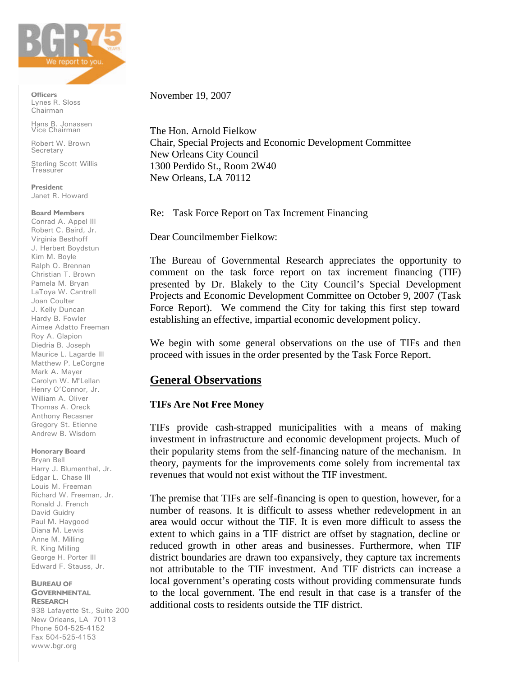

**Officers** Lynes R. Sloss Chairman

Hans B. Jonassen Vice Chairman

Robert W. Brown **Secretary** 

**Sterling Scott Willis** Treasurer

**President** Janet R. Howard

**Board Members**

Conrad A. Appel III Robert C. Baird, Jr. Virginia Besthoff J. Herbert Boydstun Kim M. Boyle Ralph O. Brennan Christian T. Brown Pamela M. Bryan LaToya W. Cantrell Joan Coulter J. Kelly Duncan Hardy B. Fowler Aimee Adatto Freeman Roy A. Glapion Diedria B. Joseph Maurice L. Lagarde III Matthew P. LeCorgne Mark A. Mayer Carolyn W. M<sup>c</sup>Lellan Henry O'Connor, Jr. William A. Oliver Thomas A. Oreck Anthony Recasner Gregory St. Etienne Andrew B. Wisdom

#### **Honorary Board**

Bryan Bell Harry J. Blumenthal, Jr. Edgar L. Chase III Louis M. Freeman Richard W. Freeman, Jr. Ronald J. French David Guidry Paul M. Haygood Diana M. Lewis Anne M. Milling R. King Milling George H. Porter III Edward F. Stauss, Jr.

#### **BUREAU OF GOVERNMENTAL RESEARCH**

938 Lafayette St., Suite 200 New Orleans, LA 70113 Phone 504-525-4152 Fax 504-525-4153 www.bgr.org

November 19, 2007

The Hon. Arnold Fielkow Chair, Special Projects and Economic Development Committee New Orleans City Council 1300 Perdido St., Room 2W40 New Orleans, LA 70112

Re: Task Force Report on Tax Increment Financing

Dear Councilmember Fielkow:

The Bureau of Governmental Research appreciates the opportunity to comment on the task force report on tax increment financing (TIF) presented by Dr. Blakely to the City Council's Special Development Projects and Economic Development Committee on October 9, 2007 (Task Force Report). We commend the City for taking this first step toward establishing an effective, impartial economic development policy.

We begin with some general observations on the use of TIFs and then proceed with issues in the order presented by the Task Force Report.

## **General Observations**

### **TIFs Are Not Free Money**

TIFs provide cash-strapped municipalities with a means of making investment in infrastructure and economic development projects. Much of their popularity stems from the self-financing nature of the mechanism. In theory, payments for the improvements come solely from incremental tax revenues that would not exist without the TIF investment.

The premise that TIFs are self-financing is open to question, however, for a number of reasons. It is difficult to assess whether redevelopment in an area would occur without the TIF. It is even more difficult to assess the extent to which gains in a TIF district are offset by stagnation, decline or reduced growth in other areas and businesses. Furthermore, when TIF district boundaries are drawn too expansively, they capture tax increments not attributable to the TIF investment. And TIF districts can increase a local government's operating costs without providing commensurate funds to the local government. The end result in that case is a transfer of the additional costs to residents outside the TIF district.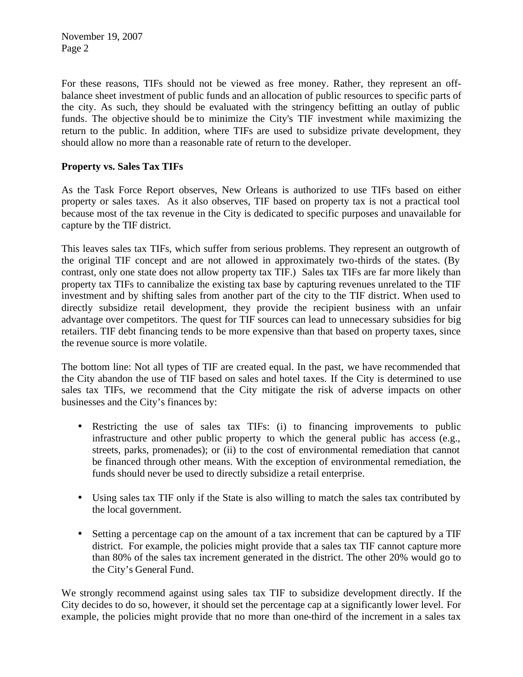For these reasons, TIFs should not be viewed as free money. Rather, they represent an offbalance sheet investment of public funds and an allocation of public resources to specific parts of the city. As such, they should be evaluated with the stringency befitting an outlay of public funds. The objective should be to minimize the City's TIF investment while maximizing the return to the public. In addition, where TIFs are used to subsidize private development, they should allow no more than a reasonable rate of return to the developer.

## **Property vs. Sales Tax TIFs**

As the Task Force Report observes, New Orleans is authorized to use TIFs based on either property or sales taxes. As it also observes, TIF based on property tax is not a practical tool because most of the tax revenue in the City is dedicated to specific purposes and unavailable for capture by the TIF district.

This leaves sales tax TIFs, which suffer from serious problems. They represent an outgrowth of the original TIF concept and are not allowed in approximately two-thirds of the states. (By contrast, only one state does not allow property tax TIF.) Sales tax TIFs are far more likely than property tax TIFs to cannibalize the existing tax base by capturing revenues unrelated to the TIF investment and by shifting sales from another part of the city to the TIF district. When used to directly subsidize retail development, they provide the recipient business with an unfair advantage over competitors. The quest for TIF sources can lead to unnecessary subsidies for big retailers. TIF debt financing tends to be more expensive than that based on property taxes, since the revenue source is more volatile.

The bottom line: Not all types of TIF are created equal. In the past, we have recommended that the City abandon the use of TIF based on sales and hotel taxes. If the City is determined to use sales tax TIFs, we recommend that the City mitigate the risk of adverse impacts on other businesses and the City's finances by:

- Restricting the use of sales tax TIFs: (i) to financing improvements to public infrastructure and other public property to which the general public has access (e.g., streets, parks, promenades); or (ii) to the cost of environmental remediation that cannot be financed through other means. With the exception of environmental remediation, the funds should never be used to directly subsidize a retail enterprise.
- Using sales tax TIF only if the State is also willing to match the sales tax contributed by the local government.
- Setting a percentage cap on the amount of a tax increment that can be captured by a TIF district. For example, the policies might provide that a sales tax TIF cannot capture more than 80% of the sales tax increment generated in the district. The other 20% would go to the City's General Fund.

We strongly recommend against using sales tax TIF to subsidize development directly. If the City decides to do so, however, it should set the percentage cap at a significantly lower level. For example, the policies might provide that no more than one-third of the increment in a sales tax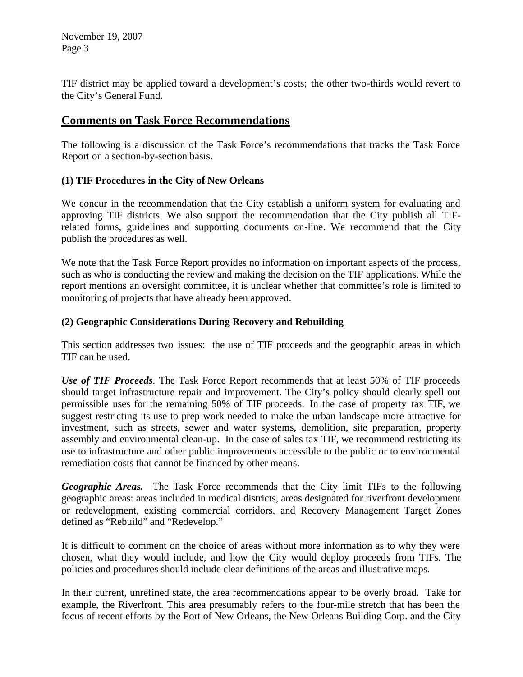TIF district may be applied toward a development's costs; the other two-thirds would revert to the City's General Fund.

# **Comments on Task Force Recommendations**

The following is a discussion of the Task Force's recommendations that tracks the Task Force Report on a section-by-section basis.

## **(1) TIF Procedures in the City of New Orleans**

We concur in the recommendation that the City establish a uniform system for evaluating and approving TIF districts. We also support the recommendation that the City publish all TIFrelated forms, guidelines and supporting documents on-line. We recommend that the City publish the procedures as well.

We note that the Task Force Report provides no information on important aspects of the process, such as who is conducting the review and making the decision on the TIF applications. While the report mentions an oversight committee, it is unclear whether that committee's role is limited to monitoring of projects that have already been approved.

## **(2) Geographic Considerations During Recovery and Rebuilding**

This section addresses two issues: the use of TIF proceeds and the geographic areas in which TIF can be used.

*Use of TIF Proceeds.* The Task Force Report recommends that at least 50% of TIF proceeds should target infrastructure repair and improvement. The City's policy should clearly spell out permissible uses for the remaining 50% of TIF proceeds. In the case of property tax TIF, we suggest restricting its use to prep work needed to make the urban landscape more attractive for investment, such as streets, sewer and water systems, demolition, site preparation, property assembly and environmental clean-up. In the case of sales tax TIF, we recommend restricting its use to infrastructure and other public improvements accessible to the public or to environmental remediation costs that cannot be financed by other means.

*Geographic Areas.* The Task Force recommends that the City limit TIFs to the following geographic areas: areas included in medical districts, areas designated for riverfront development or redevelopment, existing commercial corridors, and Recovery Management Target Zones defined as "Rebuild" and "Redevelop."

It is difficult to comment on the choice of areas without more information as to why they were chosen, what they would include, and how the City would deploy proceeds from TIFs. The policies and procedures should include clear definitions of the areas and illustrative maps.

In their current, unrefined state, the area recommendations appear to be overly broad. Take for example, the Riverfront. This area presumably refers to the four-mile stretch that has been the focus of recent efforts by the Port of New Orleans, the New Orleans Building Corp. and the City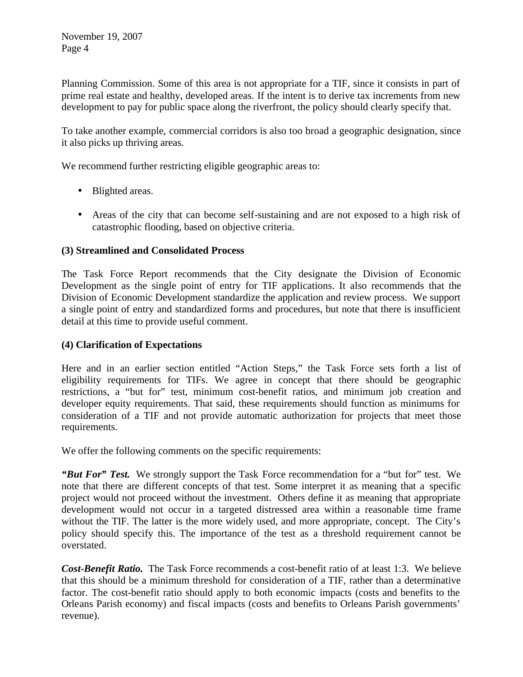Planning Commission. Some of this area is not appropriate for a TIF, since it consists in part of prime real estate and healthy, developed areas. If the intent is to derive tax increments from new development to pay for public space along the riverfront, the policy should clearly specify that.

To take another example, commercial corridors is also too broad a geographic designation, since it also picks up thriving areas.

We recommend further restricting eligible geographic areas to:

- Blighted areas.
- Areas of the city that can become self-sustaining and are not exposed to a high risk of catastrophic flooding, based on objective criteria.

## **(3) Streamlined and Consolidated Process**

The Task Force Report recommends that the City designate the Division of Economic Development as the single point of entry for TIF applications. It also recommends that the Division of Economic Development standardize the application and review process. We support a single point of entry and standardized forms and procedures, but note that there is insufficient detail at this time to provide useful comment.

## **(4) Clarification of Expectations**

Here and in an earlier section entitled "Action Steps," the Task Force sets forth a list of eligibility requirements for TIFs. We agree in concept that there should be geographic restrictions, a "but for" test, minimum cost-benefit ratios, and minimum job creation and developer equity requirements. That said, these requirements should function as minimums for consideration of a TIF and not provide automatic authorization for projects that meet those requirements.

We offer the following comments on the specific requirements:

*"But For" Test.* We strongly support the Task Force recommendation for a "but for" test. We note that there are different concepts of that test. Some interpret it as meaning that a specific project would not proceed without the investment. Others define it as meaning that appropriate development would not occur in a targeted distressed area within a reasonable time frame without the TIF. The latter is the more widely used, and more appropriate, concept. The City's policy should specify this. The importance of the test as a threshold requirement cannot be overstated.

*Cost-Benefit Ratio.* The Task Force recommends a cost-benefit ratio of at least 1:3. We believe that this should be a minimum threshold for consideration of a TIF, rather than a determinative factor. The cost-benefit ratio should apply to both economic impacts (costs and benefits to the Orleans Parish economy) and fiscal impacts (costs and benefits to Orleans Parish governments' revenue).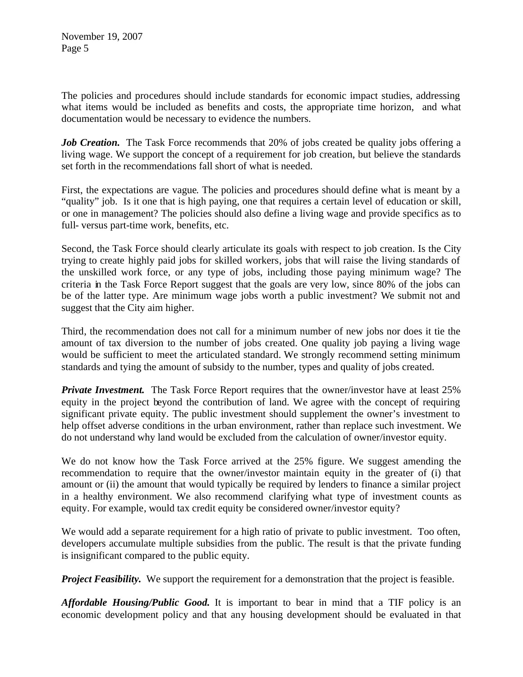The policies and procedures should include standards for economic impact studies, addressing what items would be included as benefits and costs, the appropriate time horizon, and what documentation would be necessary to evidence the numbers.

*Job Creation.* The Task Force recommends that 20% of jobs created be quality jobs offering a living wage. We support the concept of a requirement for job creation, but believe the standards set forth in the recommendations fall short of what is needed.

First, the expectations are vague. The policies and procedures should define what is meant by a "quality" job. Is it one that is high paying, one that requires a certain level of education or skill, or one in management? The policies should also define a living wage and provide specifics as to full- versus part-time work, benefits, etc.

Second, the Task Force should clearly articulate its goals with respect to job creation. Is the City trying to create highly paid jobs for skilled workers, jobs that will raise the living standards of the unskilled work force, or any type of jobs, including those paying minimum wage? The criteria in the Task Force Report suggest that the goals are very low, since 80% of the jobs can be of the latter type. Are minimum wage jobs worth a public investment? We submit not and suggest that the City aim higher.

Third, the recommendation does not call for a minimum number of new jobs nor does it tie the amount of tax diversion to the number of jobs created. One quality job paying a living wage would be sufficient to meet the articulated standard. We strongly recommend setting minimum standards and tying the amount of subsidy to the number, types and quality of jobs created.

*Private Investment.* The Task Force Report requires that the owner/investor have at least 25% equity in the project beyond the contribution of land. We agree with the concept of requiring significant private equity. The public investment should supplement the owner's investment to help offset adverse conditions in the urban environment, rather than replace such investment. We do not understand why land would be excluded from the calculation of owner/investor equity.

We do not know how the Task Force arrived at the 25% figure. We suggest amending the recommendation to require that the owner/investor maintain equity in the greater of (i) that amount or (ii) the amount that would typically be required by lenders to finance a similar project in a healthy environment. We also recommend clarifying what type of investment counts as equity. For example, would tax credit equity be considered owner/investor equity?

We would add a separate requirement for a high ratio of private to public investment. Too often, developers accumulate multiple subsidies from the public. The result is that the private funding is insignificant compared to the public equity.

*Project Feasibility.* We support the requirement for a demonstration that the project is feasible.

*Affordable Housing/Public Good.* It is important to bear in mind that a TIF policy is an economic development policy and that any housing development should be evaluated in that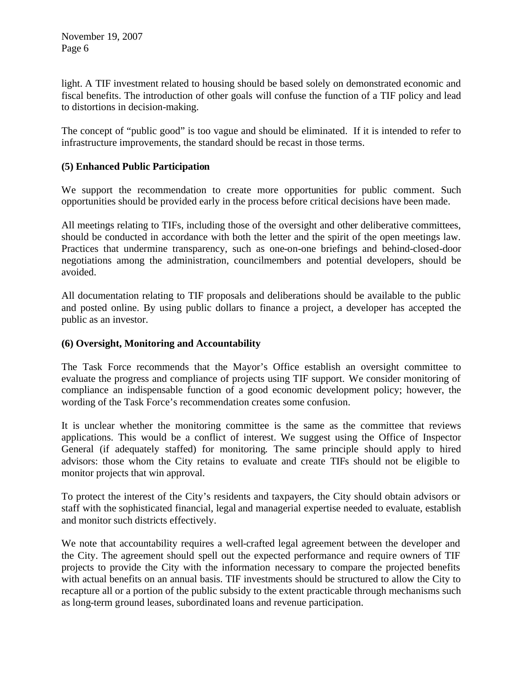light. A TIF investment related to housing should be based solely on demonstrated economic and fiscal benefits. The introduction of other goals will confuse the function of a TIF policy and lead to distortions in decision-making.

The concept of "public good" is too vague and should be eliminated. If it is intended to refer to infrastructure improvements, the standard should be recast in those terms.

## **(5) Enhanced Public Participation**

We support the recommendation to create more opportunities for public comment. Such opportunities should be provided early in the process before critical decisions have been made.

All meetings relating to TIFs, including those of the oversight and other deliberative committees, should be conducted in accordance with both the letter and the spirit of the open meetings law. Practices that undermine transparency, such as one-on-one briefings and behind-closed-door negotiations among the administration, councilmembers and potential developers, should be avoided.

All documentation relating to TIF proposals and deliberations should be available to the public and posted online. By using public dollars to finance a project, a developer has accepted the public as an investor.

### **(6) Oversight, Monitoring and Accountability**

The Task Force recommends that the Mayor's Office establish an oversight committee to evaluate the progress and compliance of projects using TIF support. We consider monitoring of compliance an indispensable function of a good economic development policy; however, the wording of the Task Force's recommendation creates some confusion.

It is unclear whether the monitoring committee is the same as the committee that reviews applications. This would be a conflict of interest. We suggest using the Office of Inspector General (if adequately staffed) for monitoring. The same principle should apply to hired advisors: those whom the City retains to evaluate and create TIFs should not be eligible to monitor projects that win approval.

To protect the interest of the City's residents and taxpayers, the City should obtain advisors or staff with the sophisticated financial, legal and managerial expertise needed to evaluate, establish and monitor such districts effectively.

We note that accountability requires a well-crafted legal agreement between the developer and the City. The agreement should spell out the expected performance and require owners of TIF projects to provide the City with the information necessary to compare the projected benefits with actual benefits on an annual basis. TIF investments should be structured to allow the City to recapture all or a portion of the public subsidy to the extent practicable through mechanisms such as long-term ground leases, subordinated loans and revenue participation.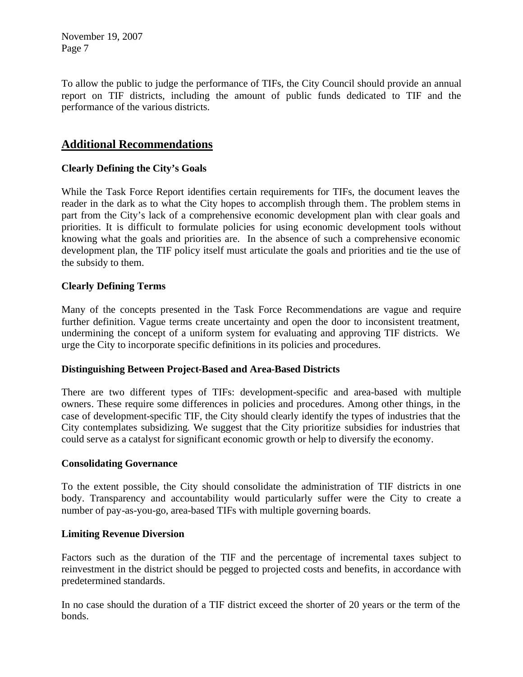To allow the public to judge the performance of TIFs, the City Council should provide an annual report on TIF districts, including the amount of public funds dedicated to TIF and the performance of the various districts.

# **Additional Recommendations**

### **Clearly Defining the City's Goals**

While the Task Force Report identifies certain requirements for TIFs, the document leaves the reader in the dark as to what the City hopes to accomplish through them. The problem stems in part from the City's lack of a comprehensive economic development plan with clear goals and priorities. It is difficult to formulate policies for using economic development tools without knowing what the goals and priorities are. In the absence of such a comprehensive economic development plan, the TIF policy itself must articulate the goals and priorities and tie the use of the subsidy to them.

## **Clearly Defining Terms**

Many of the concepts presented in the Task Force Recommendations are vague and require further definition. Vague terms create uncertainty and open the door to inconsistent treatment, undermining the concept of a uniform system for evaluating and approving TIF districts. We urge the City to incorporate specific definitions in its policies and procedures.

### **Distinguishing Between Project-Based and Area-Based Districts**

There are two different types of TIFs: development-specific and area-based with multiple owners. These require some differences in policies and procedures. Among other things, in the case of development-specific TIF, the City should clearly identify the types of industries that the City contemplates subsidizing. We suggest that the City prioritize subsidies for industries that could serve as a catalyst for significant economic growth or help to diversify the economy.

#### **Consolidating Governance**

To the extent possible, the City should consolidate the administration of TIF districts in one body. Transparency and accountability would particularly suffer were the City to create a number of pay-as-you-go, area-based TIFs with multiple governing boards.

### **Limiting Revenue Diversion**

Factors such as the duration of the TIF and the percentage of incremental taxes subject to reinvestment in the district should be pegged to projected costs and benefits, in accordance with predetermined standards.

In no case should the duration of a TIF district exceed the shorter of 20 years or the term of the bonds.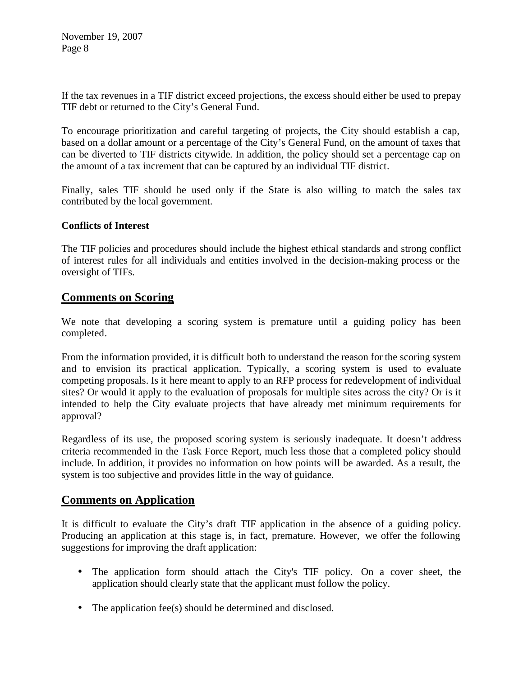If the tax revenues in a TIF district exceed projections, the excess should either be used to prepay TIF debt or returned to the City's General Fund.

To encourage prioritization and careful targeting of projects, the City should establish a cap, based on a dollar amount or a percentage of the City's General Fund, on the amount of taxes that can be diverted to TIF districts citywide. In addition, the policy should set a percentage cap on the amount of a tax increment that can be captured by an individual TIF district.

Finally, sales TIF should be used only if the State is also willing to match the sales tax contributed by the local government.

## **Conflicts of Interest**

The TIF policies and procedures should include the highest ethical standards and strong conflict of interest rules for all individuals and entities involved in the decision-making process or the oversight of TIFs.

# **Comments on Scoring**

We note that developing a scoring system is premature until a guiding policy has been completed.

From the information provided, it is difficult both to understand the reason for the scoring system and to envision its practical application. Typically, a scoring system is used to evaluate competing proposals. Is it here meant to apply to an RFP process for redevelopment of individual sites? Or would it apply to the evaluation of proposals for multiple sites across the city? Or is it intended to help the City evaluate projects that have already met minimum requirements for approval?

Regardless of its use, the proposed scoring system is seriously inadequate. It doesn't address criteria recommended in the Task Force Report, much less those that a completed policy should include. In addition, it provides no information on how points will be awarded. As a result, the system is too subjective and provides little in the way of guidance.

## **Comments on Application**

It is difficult to evaluate the City's draft TIF application in the absence of a guiding policy. Producing an application at this stage is, in fact, premature. However, we offer the following suggestions for improving the draft application:

- The application form should attach the City's TIF policy. On a cover sheet, the application should clearly state that the applicant must follow the policy.
- The application fee(s) should be determined and disclosed.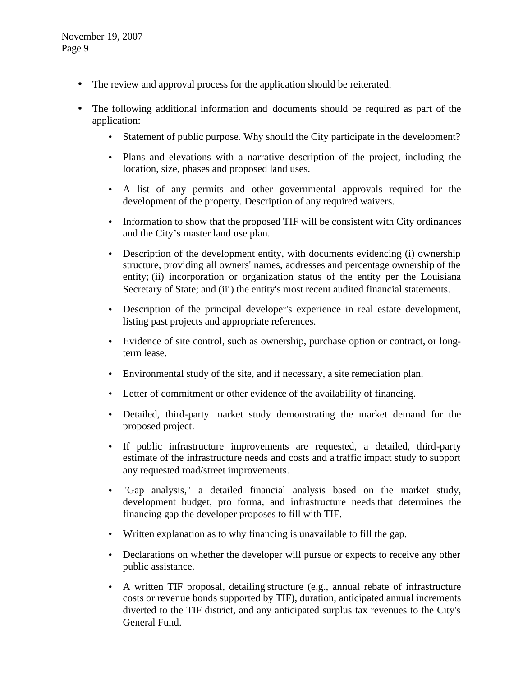- The review and approval process for the application should be reiterated.
- The following additional information and documents should be required as part of the application:
	- Statement of public purpose. Why should the City participate in the development?
	- Plans and elevations with a narrative description of the project, including the location, size, phases and proposed land uses.
	- A list of any permits and other governmental approvals required for the development of the property. Description of any required waivers.
	- Information to show that the proposed TIF will be consistent with City ordinances and the City's master land use plan.
	- Description of the development entity, with documents evidencing (i) ownership structure, providing all owners' names, addresses and percentage ownership of the entity; (ii) incorporation or organization status of the entity per the Louisiana Secretary of State; and (iii) the entity's most recent audited financial statements.
	- Description of the principal developer's experience in real estate development, listing past projects and appropriate references.
	- Evidence of site control, such as ownership, purchase option or contract, or longterm lease.
	- Environmental study of the site, and if necessary, a site remediation plan.
	- Letter of commitment or other evidence of the availability of financing.
	- Detailed, third-party market study demonstrating the market demand for the proposed project.
	- If public infrastructure improvements are requested, a detailed, third-party estimate of the infrastructure needs and costs and a traffic impact study to support any requested road/street improvements.
	- "Gap analysis," a detailed financial analysis based on the market study, development budget, pro forma, and infrastructure needs that determines the financing gap the developer proposes to fill with TIF.
	- Written explanation as to why financing is unavailable to fill the gap.
	- Declarations on whether the developer will pursue or expects to receive any other public assistance.
	- A written TIF proposal, detailing structure (e.g., annual rebate of infrastructure costs or revenue bonds supported by TIF), duration, anticipated annual increments diverted to the TIF district, and any anticipated surplus tax revenues to the City's General Fund.